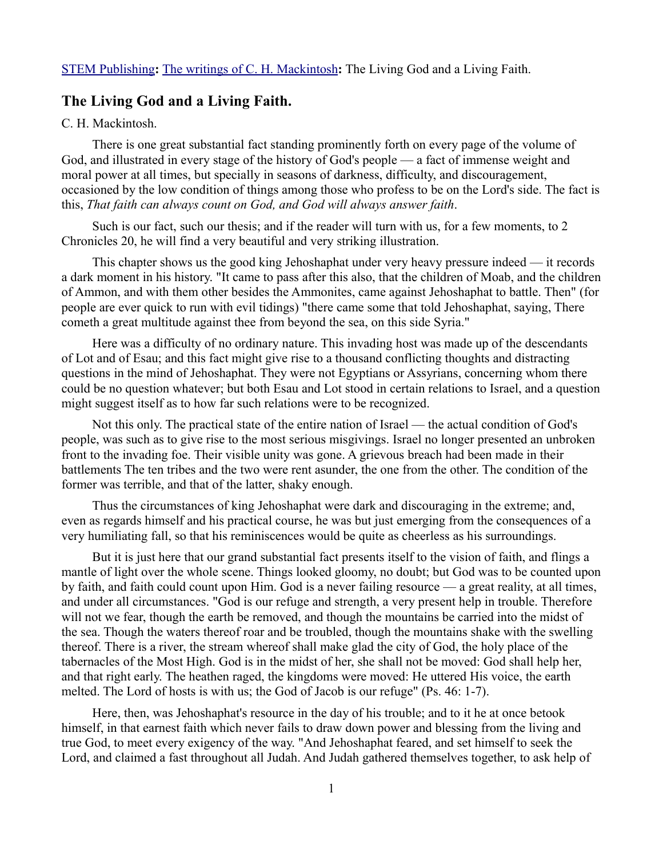[STEM Publishing](http://www.stempublishing.com/)**:** [The writings of C. H. Mackintosh](http://www.stempublishing.com/authors/mackintosh/index.html)**:** The Living God and a Living Faith.

## **The Living God and a Living Faith.**

## C. H. Mackintosh.

There is one great substantial fact standing prominently forth on every page of the volume of God, and illustrated in every stage of the history of God's people — a fact of immense weight and moral power at all times, but specially in seasons of darkness, difficulty, and discouragement, occasioned by the low condition of things among those who profess to be on the Lord's side. The fact is this, *That faith can always count on God, and God will always answer faith*.

Such is our fact, such our thesis; and if the reader will turn with us, for a few moments, to 2 Chronicles 20, he will find a very beautiful and very striking illustration.

This chapter shows us the good king Jehoshaphat under very heavy pressure indeed — it records a dark moment in his history. "It came to pass after this also, that the children of Moab, and the children of Ammon, and with them other besides the Ammonites, came against Jehoshaphat to battle. Then" (for people are ever quick to run with evil tidings) "there came some that told Jehoshaphat, saying, There cometh a great multitude against thee from beyond the sea, on this side Syria."

Here was a difficulty of no ordinary nature. This invading host was made up of the descendants of Lot and of Esau; and this fact might give rise to a thousand conflicting thoughts and distracting questions in the mind of Jehoshaphat. They were not Egyptians or Assyrians, concerning whom there could be no question whatever; but both Esau and Lot stood in certain relations to Israel, and a question might suggest itself as to how far such relations were to be recognized.

Not this only. The practical state of the entire nation of Israel — the actual condition of God's people, was such as to give rise to the most serious misgivings. Israel no longer presented an unbroken front to the invading foe. Their visible unity was gone. A grievous breach had been made in their battlements The ten tribes and the two were rent asunder, the one from the other. The condition of the former was terrible, and that of the latter, shaky enough.

Thus the circumstances of king Jehoshaphat were dark and discouraging in the extreme; and, even as regards himself and his practical course, he was but just emerging from the consequences of a very humiliating fall, so that his reminiscences would be quite as cheerless as his surroundings.

But it is just here that our grand substantial fact presents itself to the vision of faith, and flings a mantle of light over the whole scene. Things looked gloomy, no doubt; but God was to be counted upon by faith, and faith could count upon Him. God is a never failing resource — a great reality, at all times, and under all circumstances. "God is our refuge and strength, a very present help in trouble. Therefore will not we fear, though the earth be removed, and though the mountains be carried into the midst of the sea. Though the waters thereof roar and be troubled, though the mountains shake with the swelling thereof. There is a river, the stream whereof shall make glad the city of God, the holy place of the tabernacles of the Most High. God is in the midst of her, she shall not be moved: God shall help her, and that right early. The heathen raged, the kingdoms were moved: He uttered His voice, the earth melted. The Lord of hosts is with us; the God of Jacob is our refuge" (Ps. 46: 1-7).

Here, then, was Jehoshaphat's resource in the day of his trouble; and to it he at once betook himself, in that earnest faith which never fails to draw down power and blessing from the living and true God, to meet every exigency of the way. "And Jehoshaphat feared, and set himself to seek the Lord, and claimed a fast throughout all Judah. And Judah gathered themselves together, to ask help of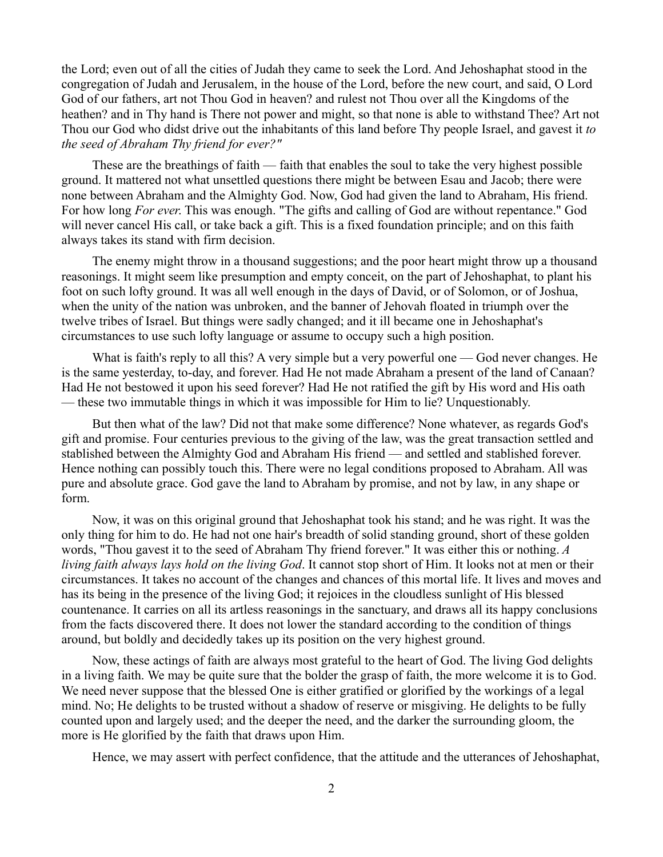the Lord; even out of all the cities of Judah they came to seek the Lord. And Jehoshaphat stood in the congregation of Judah and Jerusalem, in the house of the Lord, before the new court, and said, O Lord God of our fathers, art not Thou God in heaven? and rulest not Thou over all the Kingdoms of the heathen? and in Thy hand is There not power and might, so that none is able to withstand Thee? Art not Thou our God who didst drive out the inhabitants of this land before Thy people Israel, and gavest it *to the seed of Abraham Thy friend for ever?"* 

These are the breathings of faith — faith that enables the soul to take the very highest possible ground. It mattered not what unsettled questions there might be between Esau and Jacob; there were none between Abraham and the Almighty God. Now, God had given the land to Abraham, His friend. For how long *For ever*. This was enough. "The gifts and calling of God are without repentance." God will never cancel His call, or take back a gift. This is a fixed foundation principle; and on this faith always takes its stand with firm decision.

The enemy might throw in a thousand suggestions; and the poor heart might throw up a thousand reasonings. It might seem like presumption and empty conceit, on the part of Jehoshaphat, to plant his foot on such lofty ground. It was all well enough in the days of David, or of Solomon, or of Joshua, when the unity of the nation was unbroken, and the banner of Jehovah floated in triumph over the twelve tribes of Israel. But things were sadly changed; and it ill became one in Jehoshaphat's circumstances to use such lofty language or assume to occupy such a high position.

What is faith's reply to all this? A very simple but a very powerful one — God never changes. He is the same yesterday, to-day, and forever. Had He not made Abraham a present of the land of Canaan? Had He not bestowed it upon his seed forever? Had He not ratified the gift by His word and His oath — these two immutable things in which it was impossible for Him to lie? Unquestionably.

But then what of the law? Did not that make some difference? None whatever, as regards God's gift and promise. Four centuries previous to the giving of the law, was the great transaction settled and stablished between the Almighty God and Abraham His friend — and settled and stablished forever. Hence nothing can possibly touch this. There were no legal conditions proposed to Abraham. All was pure and absolute grace. God gave the land to Abraham by promise, and not by law, in any shape or form.

Now, it was on this original ground that Jehoshaphat took his stand; and he was right. It was the only thing for him to do. He had not one hair's breadth of solid standing ground, short of these golden words, "Thou gavest it to the seed of Abraham Thy friend forever." It was either this or nothing. *A living faith always lays hold on the living God*. It cannot stop short of Him. It looks not at men or their circumstances. It takes no account of the changes and chances of this mortal life. It lives and moves and has its being in the presence of the living God; it rejoices in the cloudless sunlight of His blessed countenance. It carries on all its artless reasonings in the sanctuary, and draws all its happy conclusions from the facts discovered there. It does not lower the standard according to the condition of things around, but boldly and decidedly takes up its position on the very highest ground.

Now, these actings of faith are always most grateful to the heart of God. The living God delights in a living faith. We may be quite sure that the bolder the grasp of faith, the more welcome it is to God. We need never suppose that the blessed One is either gratified or glorified by the workings of a legal mind. No; He delights to be trusted without a shadow of reserve or misgiving. He delights to be fully counted upon and largely used; and the deeper the need, and the darker the surrounding gloom, the more is He glorified by the faith that draws upon Him.

Hence, we may assert with perfect confidence, that the attitude and the utterances of Jehoshaphat,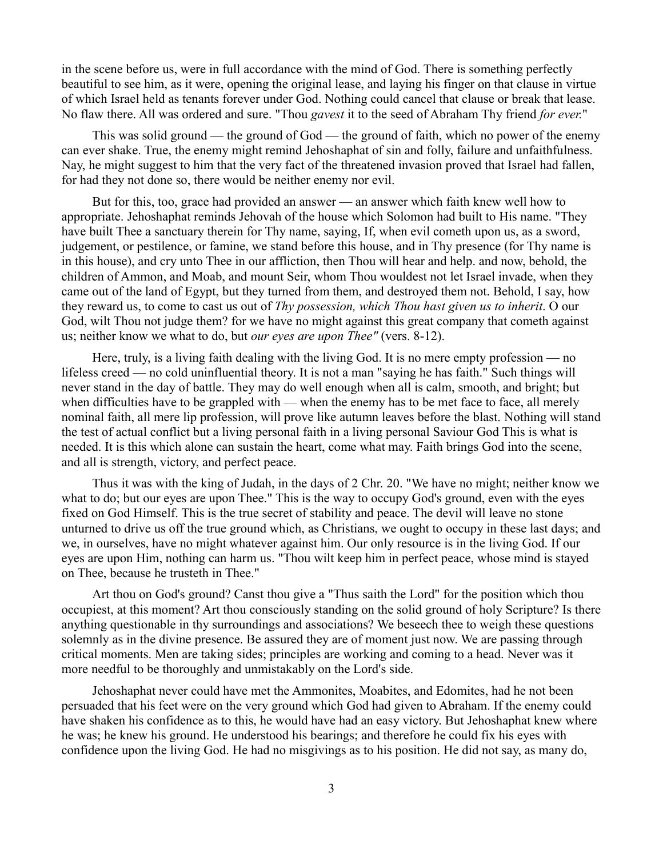in the scene before us, were in full accordance with the mind of God. There is something perfectly beautiful to see him, as it were, opening the original lease, and laying his finger on that clause in virtue of which Israel held as tenants forever under God. Nothing could cancel that clause or break that lease. No flaw there. All was ordered and sure. "Thou *gavest* it to the seed of Abraham Thy friend *for ever.*"

This was solid ground — the ground of God — the ground of faith, which no power of the enemy can ever shake. True, the enemy might remind Jehoshaphat of sin and folly, failure and unfaithfulness. Nay, he might suggest to him that the very fact of the threatened invasion proved that Israel had fallen, for had they not done so, there would be neither enemy nor evil.

But for this, too, grace had provided an answer — an answer which faith knew well how to appropriate. Jehoshaphat reminds Jehovah of the house which Solomon had built to His name. "They have built Thee a sanctuary therein for Thy name, saying, If, when evil cometh upon us, as a sword, judgement, or pestilence, or famine, we stand before this house, and in Thy presence (for Thy name is in this house), and cry unto Thee in our affliction, then Thou will hear and help. and now, behold, the children of Ammon, and Moab, and mount Seir, whom Thou wouldest not let Israel invade, when they came out of the land of Egypt, but they turned from them, and destroyed them not. Behold, I say, how they reward us, to come to cast us out of *Thy possession, which Thou hast given us to inherit*. O our God, wilt Thou not judge them? for we have no might against this great company that cometh against us; neither know we what to do, but *our eyes are upon Thee"* (vers. 8-12).

Here, truly, is a living faith dealing with the living God. It is no mere empty profession — no lifeless creed — no cold uninfluential theory. It is not a man "saying he has faith." Such things will never stand in the day of battle. They may do well enough when all is calm, smooth, and bright; but when difficulties have to be grappled with — when the enemy has to be met face to face, all merely nominal faith, all mere lip profession, will prove like autumn leaves before the blast. Nothing will stand the test of actual conflict but a living personal faith in a living personal Saviour God This is what is needed. It is this which alone can sustain the heart, come what may. Faith brings God into the scene, and all is strength, victory, and perfect peace.

Thus it was with the king of Judah, in the days of 2 Chr. 20. "We have no might; neither know we what to do; but our eyes are upon Thee." This is the way to occupy God's ground, even with the eyes fixed on God Himself. This is the true secret of stability and peace. The devil will leave no stone unturned to drive us off the true ground which, as Christians, we ought to occupy in these last days; and we, in ourselves, have no might whatever against him. Our only resource is in the living God. If our eyes are upon Him, nothing can harm us. "Thou wilt keep him in perfect peace, whose mind is stayed on Thee, because he trusteth in Thee."

Art thou on God's ground? Canst thou give a "Thus saith the Lord" for the position which thou occupiest, at this moment? Art thou consciously standing on the solid ground of holy Scripture? Is there anything questionable in thy surroundings and associations? We beseech thee to weigh these questions solemnly as in the divine presence. Be assured they are of moment just now. We are passing through critical moments. Men are taking sides; principles are working and coming to a head. Never was it more needful to be thoroughly and unmistakably on the Lord's side.

Jehoshaphat never could have met the Ammonites, Moabites, and Edomites, had he not been persuaded that his feet were on the very ground which God had given to Abraham. If the enemy could have shaken his confidence as to this, he would have had an easy victory. But Jehoshaphat knew where he was; he knew his ground. He understood his bearings; and therefore he could fix his eyes with confidence upon the living God. He had no misgivings as to his position. He did not say, as many do,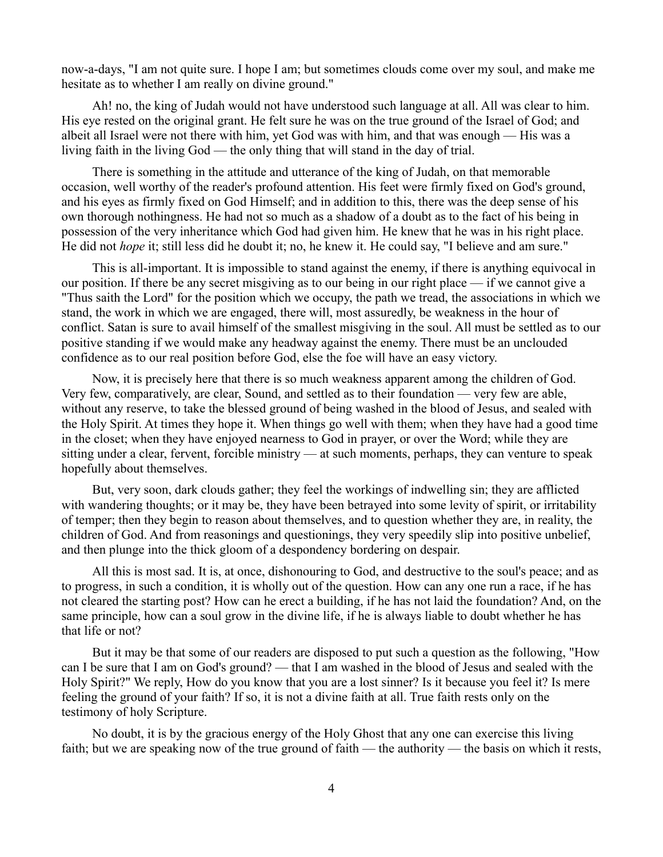now-a-days, "I am not quite sure. I hope I am; but sometimes clouds come over my soul, and make me hesitate as to whether I am really on divine ground."

Ah! no, the king of Judah would not have understood such language at all. All was clear to him. His eye rested on the original grant. He felt sure he was on the true ground of the Israel of God; and albeit all Israel were not there with him, yet God was with him, and that was enough — His was a living faith in the living God — the only thing that will stand in the day of trial.

There is something in the attitude and utterance of the king of Judah, on that memorable occasion, well worthy of the reader's profound attention. His feet were firmly fixed on God's ground, and his eyes as firmly fixed on God Himself; and in addition to this, there was the deep sense of his own thorough nothingness. He had not so much as a shadow of a doubt as to the fact of his being in possession of the very inheritance which God had given him. He knew that he was in his right place. He did not *hope* it; still less did he doubt it; no, he knew it. He could say, "I believe and am sure."

This is all-important. It is impossible to stand against the enemy, if there is anything equivocal in our position. If there be any secret misgiving as to our being in our right place — if we cannot give a "Thus saith the Lord" for the position which we occupy, the path we tread, the associations in which we stand, the work in which we are engaged, there will, most assuredly, be weakness in the hour of conflict. Satan is sure to avail himself of the smallest misgiving in the soul. All must be settled as to our positive standing if we would make any headway against the enemy. There must be an unclouded confidence as to our real position before God, else the foe will have an easy victory.

Now, it is precisely here that there is so much weakness apparent among the children of God. Very few, comparatively, are clear, Sound, and settled as to their foundation — very few are able, without any reserve, to take the blessed ground of being washed in the blood of Jesus, and sealed with the Holy Spirit. At times they hope it. When things go well with them; when they have had a good time in the closet; when they have enjoyed nearness to God in prayer, or over the Word; while they are sitting under a clear, fervent, forcible ministry — at such moments, perhaps, they can venture to speak hopefully about themselves.

But, very soon, dark clouds gather; they feel the workings of indwelling sin; they are afflicted with wandering thoughts; or it may be, they have been betrayed into some levity of spirit, or irritability of temper; then they begin to reason about themselves, and to question whether they are, in reality, the children of God. And from reasonings and questionings, they very speedily slip into positive unbelief, and then plunge into the thick gloom of a despondency bordering on despair.

All this is most sad. It is, at once, dishonouring to God, and destructive to the soul's peace; and as to progress, in such a condition, it is wholly out of the question. How can any one run a race, if he has not cleared the starting post? How can he erect a building, if he has not laid the foundation? And, on the same principle, how can a soul grow in the divine life, if he is always liable to doubt whether he has that life or not?

But it may be that some of our readers are disposed to put such a question as the following, "How can I be sure that I am on God's ground? — that I am washed in the blood of Jesus and sealed with the Holy Spirit?" We reply, How do you know that you are a lost sinner? Is it because you feel it? Is mere feeling the ground of your faith? If so, it is not a divine faith at all. True faith rests only on the testimony of holy Scripture.

No doubt, it is by the gracious energy of the Holy Ghost that any one can exercise this living faith; but we are speaking now of the true ground of faith — the authority — the basis on which it rests,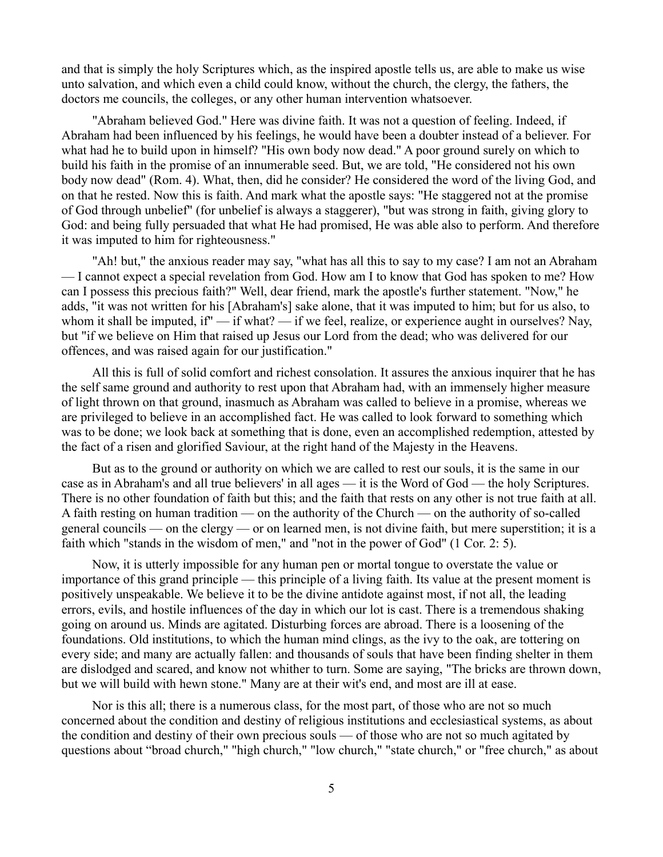and that is simply the holy Scriptures which, as the inspired apostle tells us, are able to make us wise unto salvation, and which even a child could know, without the church, the clergy, the fathers, the doctors me councils, the colleges, or any other human intervention whatsoever.

"Abraham believed God." Here was divine faith. It was not a question of feeling. Indeed, if Abraham had been influenced by his feelings, he would have been a doubter instead of a believer. For what had he to build upon in himself? "His own body now dead." A poor ground surely on which to build his faith in the promise of an innumerable seed. But, we are told, "He considered not his own body now dead" (Rom. 4). What, then, did he consider? He considered the word of the living God, and on that he rested. Now this is faith. And mark what the apostle says: "He staggered not at the promise of God through unbelief" (for unbelief is always a staggerer), "but was strong in faith, giving glory to God: and being fully persuaded that what He had promised, He was able also to perform. And therefore it was imputed to him for righteousness."

"Ah! but," the anxious reader may say, "what has all this to say to my case? I am not an Abraham — I cannot expect a special revelation from God. How am I to know that God has spoken to me? How can I possess this precious faith?" Well, dear friend, mark the apostle's further statement. "Now," he adds, "it was not written for his [Abraham's] sake alone, that it was imputed to him; but for us also, to whom it shall be imputed, if" — if what? — if we feel, realize, or experience aught in ourselves? Nay, but "if we believe on Him that raised up Jesus our Lord from the dead; who was delivered for our offences, and was raised again for our justification."

All this is full of solid comfort and richest consolation. It assures the anxious inquirer that he has the self same ground and authority to rest upon that Abraham had, with an immensely higher measure of light thrown on that ground, inasmuch as Abraham was called to believe in a promise, whereas we are privileged to believe in an accomplished fact. He was called to look forward to something which was to be done; we look back at something that is done, even an accomplished redemption, attested by the fact of a risen and glorified Saviour, at the right hand of the Majesty in the Heavens.

But as to the ground or authority on which we are called to rest our souls, it is the same in our case as in Abraham's and all true believers' in all ages — it is the Word of God — the holy Scriptures. There is no other foundation of faith but this; and the faith that rests on any other is not true faith at all. A faith resting on human tradition — on the authority of the Church — on the authority of so-called general councils — on the clergy — or on learned men, is not divine faith, but mere superstition; it is a faith which "stands in the wisdom of men," and "not in the power of God" (1 Cor. 2: 5).

Now, it is utterly impossible for any human pen or mortal tongue to overstate the value or importance of this grand principle — this principle of a living faith. Its value at the present moment is positively unspeakable. We believe it to be the divine antidote against most, if not all, the leading errors, evils, and hostile influences of the day in which our lot is cast. There is a tremendous shaking going on around us. Minds are agitated. Disturbing forces are abroad. There is a loosening of the foundations. Old institutions, to which the human mind clings, as the ivy to the oak, are tottering on every side; and many are actually fallen: and thousands of souls that have been finding shelter in them are dislodged and scared, and know not whither to turn. Some are saying, "The bricks are thrown down, but we will build with hewn stone." Many are at their wit's end, and most are ill at ease.

Nor is this all; there is a numerous class, for the most part, of those who are not so much concerned about the condition and destiny of religious institutions and ecclesiastical systems, as about the condition and destiny of their own precious souls — of those who are not so much agitated by questions about "broad church," "high church," "low church," "state church," or "free church," as about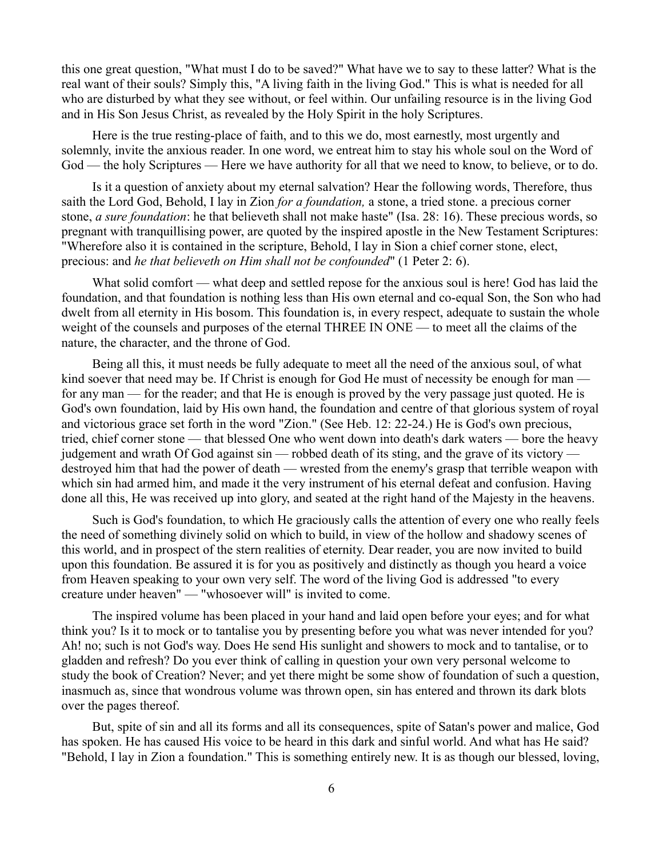this one great question, "What must I do to be saved?" What have we to say to these latter? What is the real want of their souls? Simply this, "A living faith in the living God." This is what is needed for all who are disturbed by what they see without, or feel within. Our unfailing resource is in the living God and in His Son Jesus Christ, as revealed by the Holy Spirit in the holy Scriptures.

Here is the true resting-place of faith, and to this we do, most earnestly, most urgently and solemnly, invite the anxious reader. In one word, we entreat him to stay his whole soul on the Word of God — the holy Scriptures — Here we have authority for all that we need to know, to believe, or to do.

Is it a question of anxiety about my eternal salvation? Hear the following words, Therefore, thus saith the Lord God, Behold, I lay in Zion *for a foundation,* a stone, a tried stone. a precious corner stone, *a sure foundation*: he that believeth shall not make haste" (Isa. 28: 16). These precious words, so pregnant with tranquillising power, are quoted by the inspired apostle in the New Testament Scriptures: "Wherefore also it is contained in the scripture, Behold, I lay in Sion a chief corner stone, elect, precious: and *he that believeth on Him shall not be confounded*" (1 Peter 2: 6).

What solid comfort — what deep and settled repose for the anxious soul is here! God has laid the foundation, and that foundation is nothing less than His own eternal and co-equal Son, the Son who had dwelt from all eternity in His bosom. This foundation is, in every respect, adequate to sustain the whole weight of the counsels and purposes of the eternal THREE IN ONE — to meet all the claims of the nature, the character, and the throne of God.

Being all this, it must needs be fully adequate to meet all the need of the anxious soul, of what kind soever that need may be. If Christ is enough for God He must of necessity be enough for man for any man — for the reader; and that He is enough is proved by the very passage just quoted. He is God's own foundation, laid by His own hand, the foundation and centre of that glorious system of royal and victorious grace set forth in the word "Zion." (See Heb. 12: 22-24.) He is God's own precious, tried, chief corner stone — that blessed One who went down into death's dark waters — bore the heavy judgement and wrath Of God against sin — robbed death of its sting, and the grave of its victory destroyed him that had the power of death — wrested from the enemy's grasp that terrible weapon with which sin had armed him, and made it the very instrument of his eternal defeat and confusion. Having done all this, He was received up into glory, and seated at the right hand of the Majesty in the heavens.

Such is God's foundation, to which He graciously calls the attention of every one who really feels the need of something divinely solid on which to build, in view of the hollow and shadowy scenes of this world, and in prospect of the stern realities of eternity. Dear reader, you are now invited to build upon this foundation. Be assured it is for you as positively and distinctly as though you heard a voice from Heaven speaking to your own very self. The word of the living God is addressed "to every creature under heaven" — "whosoever will" is invited to come.

The inspired volume has been placed in your hand and laid open before your eyes; and for what think you? Is it to mock or to tantalise you by presenting before you what was never intended for you? Ah! no; such is not God's way. Does He send His sunlight and showers to mock and to tantalise, or to gladden and refresh? Do you ever think of calling in question your own very personal welcome to study the book of Creation? Never; and yet there might be some show of foundation of such a question, inasmuch as, since that wondrous volume was thrown open, sin has entered and thrown its dark blots over the pages thereof.

But, spite of sin and all its forms and all its consequences, spite of Satan's power and malice, God has spoken. He has caused His voice to be heard in this dark and sinful world. And what has He said? "Behold, I lay in Zion a foundation." This is something entirely new. It is as though our blessed, loving,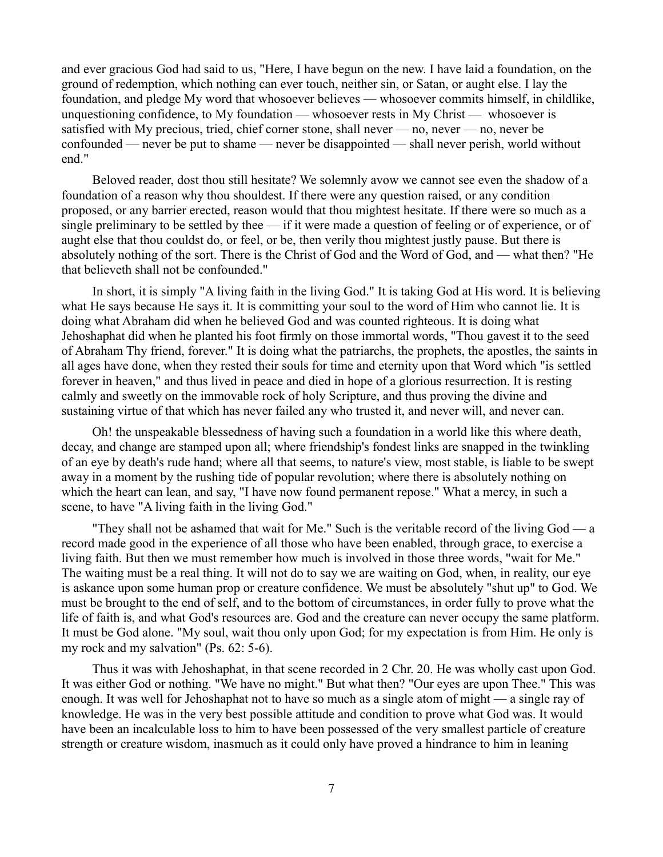and ever gracious God had said to us, "Here, I have begun on the new. I have laid a foundation, on the ground of redemption, which nothing can ever touch, neither sin, or Satan, or aught else. I lay the foundation, and pledge My word that whosoever believes — whosoever commits himself, in childlike, unquestioning confidence, to My foundation — whosoever rests in My Christ — whosoever is satisfied with My precious, tried, chief corner stone, shall never — no, never — no, never be confounded — never be put to shame — never be disappointed — shall never perish, world without end."

Beloved reader, dost thou still hesitate? We solemnly avow we cannot see even the shadow of a foundation of a reason why thou shouldest. If there were any question raised, or any condition proposed, or any barrier erected, reason would that thou mightest hesitate. If there were so much as a single preliminary to be settled by thee — if it were made a question of feeling or of experience, or of aught else that thou couldst do, or feel, or be, then verily thou mightest justly pause. But there is absolutely nothing of the sort. There is the Christ of God and the Word of God, and — what then? "He that believeth shall not be confounded."

In short, it is simply "A living faith in the living God." It is taking God at His word. It is believing what He says because He says it. It is committing your soul to the word of Him who cannot lie. It is doing what Abraham did when he believed God and was counted righteous. It is doing what Jehoshaphat did when he planted his foot firmly on those immortal words, "Thou gavest it to the seed of Abraham Thy friend, forever." It is doing what the patriarchs, the prophets, the apostles, the saints in all ages have done, when they rested their souls for time and eternity upon that Word which "is settled forever in heaven," and thus lived in peace and died in hope of a glorious resurrection. It is resting calmly and sweetly on the immovable rock of holy Scripture, and thus proving the divine and sustaining virtue of that which has never failed any who trusted it, and never will, and never can.

Oh! the unspeakable blessedness of having such a foundation in a world like this where death, decay, and change are stamped upon all; where friendship's fondest links are snapped in the twinkling of an eye by death's rude hand; where all that seems, to nature's view, most stable, is liable to be swept away in a moment by the rushing tide of popular revolution; where there is absolutely nothing on which the heart can lean, and say, "I have now found permanent repose." What a mercy, in such a scene, to have "A living faith in the living God."

"They shall not be ashamed that wait for Me." Such is the veritable record of the living God — a record made good in the experience of all those who have been enabled, through grace, to exercise a living faith. But then we must remember how much is involved in those three words, "wait for Me." The waiting must be a real thing. It will not do to say we are waiting on God, when, in reality, our eye is askance upon some human prop or creature confidence. We must be absolutely "shut up" to God. We must be brought to the end of self, and to the bottom of circumstances, in order fully to prove what the life of faith is, and what God's resources are. God and the creature can never occupy the same platform. It must be God alone. "My soul, wait thou only upon God; for my expectation is from Him. He only is my rock and my salvation" (Ps. 62: 5-6).

Thus it was with Jehoshaphat, in that scene recorded in 2 Chr. 20. He was wholly cast upon God. It was either God or nothing. "We have no might." But what then? "Our eyes are upon Thee." This was enough. It was well for Jehoshaphat not to have so much as a single atom of might — a single ray of knowledge. He was in the very best possible attitude and condition to prove what God was. It would have been an incalculable loss to him to have been possessed of the very smallest particle of creature strength or creature wisdom, inasmuch as it could only have proved a hindrance to him in leaning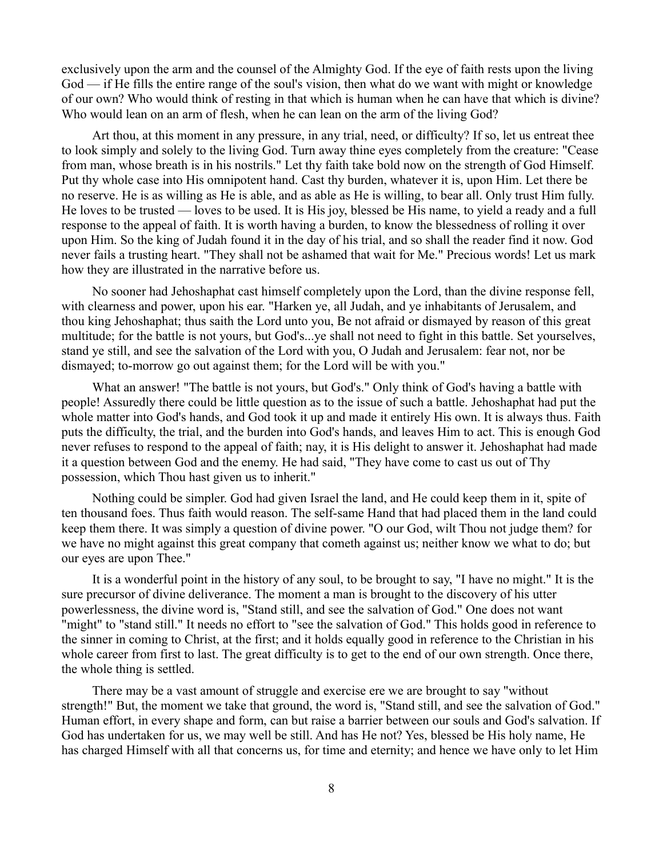exclusively upon the arm and the counsel of the Almighty God. If the eye of faith rests upon the living God — if He fills the entire range of the soul's vision, then what do we want with might or knowledge of our own? Who would think of resting in that which is human when he can have that which is divine? Who would lean on an arm of flesh, when he can lean on the arm of the living God?

Art thou, at this moment in any pressure, in any trial, need, or difficulty? If so, let us entreat thee to look simply and solely to the living God. Turn away thine eyes completely from the creature: "Cease from man, whose breath is in his nostrils." Let thy faith take bold now on the strength of God Himself. Put thy whole case into His omnipotent hand. Cast thy burden, whatever it is, upon Him. Let there be no reserve. He is as willing as He is able, and as able as He is willing, to bear all. Only trust Him fully. He loves to be trusted — loves to be used. It is His joy, blessed be His name, to yield a ready and a full response to the appeal of faith. It is worth having a burden, to know the blessedness of rolling it over upon Him. So the king of Judah found it in the day of his trial, and so shall the reader find it now. God never fails a trusting heart. "They shall not be ashamed that wait for Me." Precious words! Let us mark how they are illustrated in the narrative before us.

No sooner had Jehoshaphat cast himself completely upon the Lord, than the divine response fell, with clearness and power, upon his ear. "Harken ye, all Judah, and ye inhabitants of Jerusalem, and thou king Jehoshaphat; thus saith the Lord unto you, Be not afraid or dismayed by reason of this great multitude; for the battle is not yours, but God's...ye shall not need to fight in this battle. Set yourselves, stand ye still, and see the salvation of the Lord with you, O Judah and Jerusalem: fear not, nor be dismayed; to-morrow go out against them; for the Lord will be with you."

What an answer! "The battle is not yours, but God's." Only think of God's having a battle with people! Assuredly there could be little question as to the issue of such a battle. Jehoshaphat had put the whole matter into God's hands, and God took it up and made it entirely His own. It is always thus. Faith puts the difficulty, the trial, and the burden into God's hands, and leaves Him to act. This is enough God never refuses to respond to the appeal of faith; nay, it is His delight to answer it. Jehoshaphat had made it a question between God and the enemy. He had said, "They have come to cast us out of Thy possession, which Thou hast given us to inherit."

Nothing could be simpler. God had given Israel the land, and He could keep them in it, spite of ten thousand foes. Thus faith would reason. The self-same Hand that had placed them in the land could keep them there. It was simply a question of divine power. "O our God, wilt Thou not judge them? for we have no might against this great company that cometh against us; neither know we what to do; but our eyes are upon Thee."

It is a wonderful point in the history of any soul, to be brought to say, "I have no might." It is the sure precursor of divine deliverance. The moment a man is brought to the discovery of his utter powerlessness, the divine word is, "Stand still, and see the salvation of God." One does not want "might" to "stand still." It needs no effort to "see the salvation of God." This holds good in reference to the sinner in coming to Christ, at the first; and it holds equally good in reference to the Christian in his whole career from first to last. The great difficulty is to get to the end of our own strength. Once there, the whole thing is settled.

There may be a vast amount of struggle and exercise ere we are brought to say "without strength!" But, the moment we take that ground, the word is, "Stand still, and see the salvation of God." Human effort, in every shape and form, can but raise a barrier between our souls and God's salvation. If God has undertaken for us, we may well be still. And has He not? Yes, blessed be His holy name, He has charged Himself with all that concerns us, for time and eternity; and hence we have only to let Him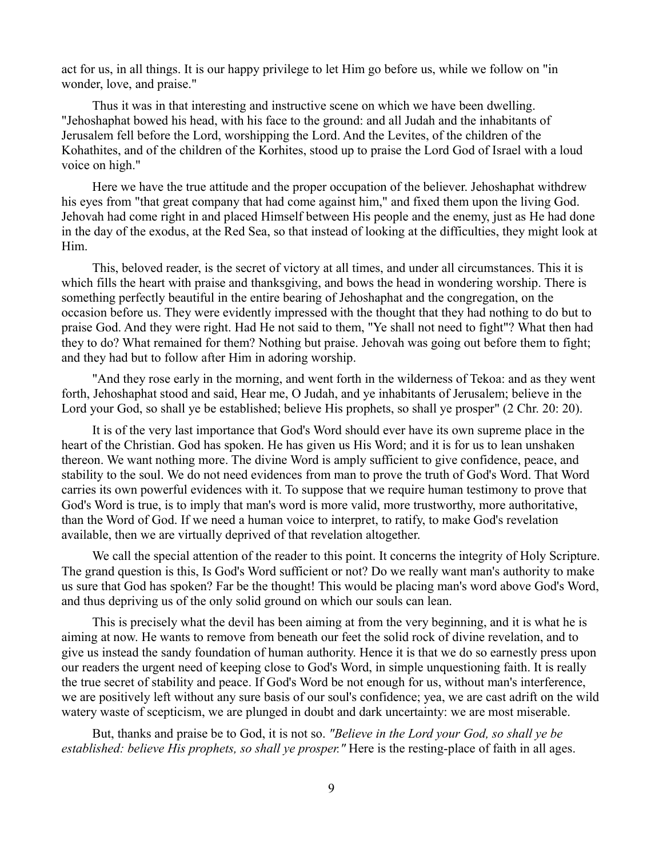act for us, in all things. It is our happy privilege to let Him go before us, while we follow on "in wonder, love, and praise."

Thus it was in that interesting and instructive scene on which we have been dwelling. "Jehoshaphat bowed his head, with his face to the ground: and all Judah and the inhabitants of Jerusalem fell before the Lord, worshipping the Lord. And the Levites, of the children of the Kohathites, and of the children of the Korhites, stood up to praise the Lord God of Israel with a loud voice on high."

Here we have the true attitude and the proper occupation of the believer. Jehoshaphat withdrew his eyes from "that great company that had come against him," and fixed them upon the living God. Jehovah had come right in and placed Himself between His people and the enemy, just as He had done in the day of the exodus, at the Red Sea, so that instead of looking at the difficulties, they might look at Him.

This, beloved reader, is the secret of victory at all times, and under all circumstances. This it is which fills the heart with praise and thanksgiving, and bows the head in wondering worship. There is something perfectly beautiful in the entire bearing of Jehoshaphat and the congregation, on the occasion before us. They were evidently impressed with the thought that they had nothing to do but to praise God. And they were right. Had He not said to them, "Ye shall not need to fight"? What then had they to do? What remained for them? Nothing but praise. Jehovah was going out before them to fight; and they had but to follow after Him in adoring worship.

"And they rose early in the morning, and went forth in the wilderness of Tekoa: and as they went forth, Jehoshaphat stood and said, Hear me, O Judah, and ye inhabitants of Jerusalem; believe in the Lord your God, so shall ye be established; believe His prophets, so shall ye prosper" (2 Chr. 20: 20).

It is of the very last importance that God's Word should ever have its own supreme place in the heart of the Christian. God has spoken. He has given us His Word; and it is for us to lean unshaken thereon. We want nothing more. The divine Word is amply sufficient to give confidence, peace, and stability to the soul. We do not need evidences from man to prove the truth of God's Word. That Word carries its own powerful evidences with it. To suppose that we require human testimony to prove that God's Word is true, is to imply that man's word is more valid, more trustworthy, more authoritative, than the Word of God. If we need a human voice to interpret, to ratify, to make God's revelation available, then we are virtually deprived of that revelation altogether.

We call the special attention of the reader to this point. It concerns the integrity of Holy Scripture. The grand question is this, Is God's Word sufficient or not? Do we really want man's authority to make us sure that God has spoken? Far be the thought! This would be placing man's word above God's Word, and thus depriving us of the only solid ground on which our souls can lean.

This is precisely what the devil has been aiming at from the very beginning, and it is what he is aiming at now. He wants to remove from beneath our feet the solid rock of divine revelation, and to give us instead the sandy foundation of human authority. Hence it is that we do so earnestly press upon our readers the urgent need of keeping close to God's Word, in simple unquestioning faith. It is really the true secret of stability and peace. If God's Word be not enough for us, without man's interference, we are positively left without any sure basis of our soul's confidence; yea, we are cast adrift on the wild watery waste of scepticism, we are plunged in doubt and dark uncertainty: we are most miserable.

But, thanks and praise be to God, it is not so. *"Believe in the Lord your God, so shall ye be established: believe His prophets, so shall ye prosper."* Here is the resting-place of faith in all ages.